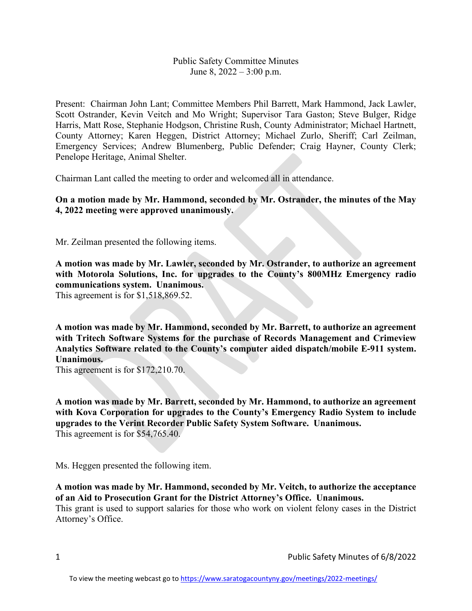## Public Safety Committee Minutes June 8, 2022 – 3:00 p.m.

Present: Chairman John Lant; Committee Members Phil Barrett, Mark Hammond, Jack Lawler, Scott Ostrander, Kevin Veitch and Mo Wright; Supervisor Tara Gaston; Steve Bulger, Ridge Harris, Matt Rose, Stephanie Hodgson, Christine Rush, County Administrator; Michael Hartnett, County Attorney; Karen Heggen, District Attorney; Michael Zurlo, Sheriff; Carl Zeilman, Emergency Services; Andrew Blumenberg, Public Defender; Craig Hayner, County Clerk; Penelope Heritage, Animal Shelter.

Chairman Lant called the meeting to order and welcomed all in attendance.

**On a motion made by Mr. Hammond, seconded by Mr. Ostrander, the minutes of the May 4, 2022 meeting were approved unanimously.**

Mr. Zeilman presented the following items.

**A motion was made by Mr. Lawler, seconded by Mr. Ostrander, to authorize an agreement with Motorola Solutions, Inc. for upgrades to the County's 800MHz Emergency radio communications system. Unanimous.**

This agreement is for \$1,518,869.52.

**A motion was made by Mr. Hammond, seconded by Mr. Barrett, to authorize an agreement with Tritech Software Systems for the purchase of Records Management and Crimeview Analytics Software related to the County's computer aided dispatch/mobile E-911 system. Unanimous.**

This agreement is for \$172,210.70.

**A motion was made by Mr. Barrett, seconded by Mr. Hammond, to authorize an agreement with Kova Corporation for upgrades to the County's Emergency Radio System to include upgrades to the Verint Recorder Public Safety System Software. Unanimous.** This agreement is for \$54,765.40.

Ms. Heggen presented the following item.

**A motion was made by Mr. Hammond, seconded by Mr. Veitch, to authorize the acceptance of an Aid to Prosecution Grant for the District Attorney's Office. Unanimous.**

This grant is used to support salaries for those who work on violent felony cases in the District Attorney's Office.